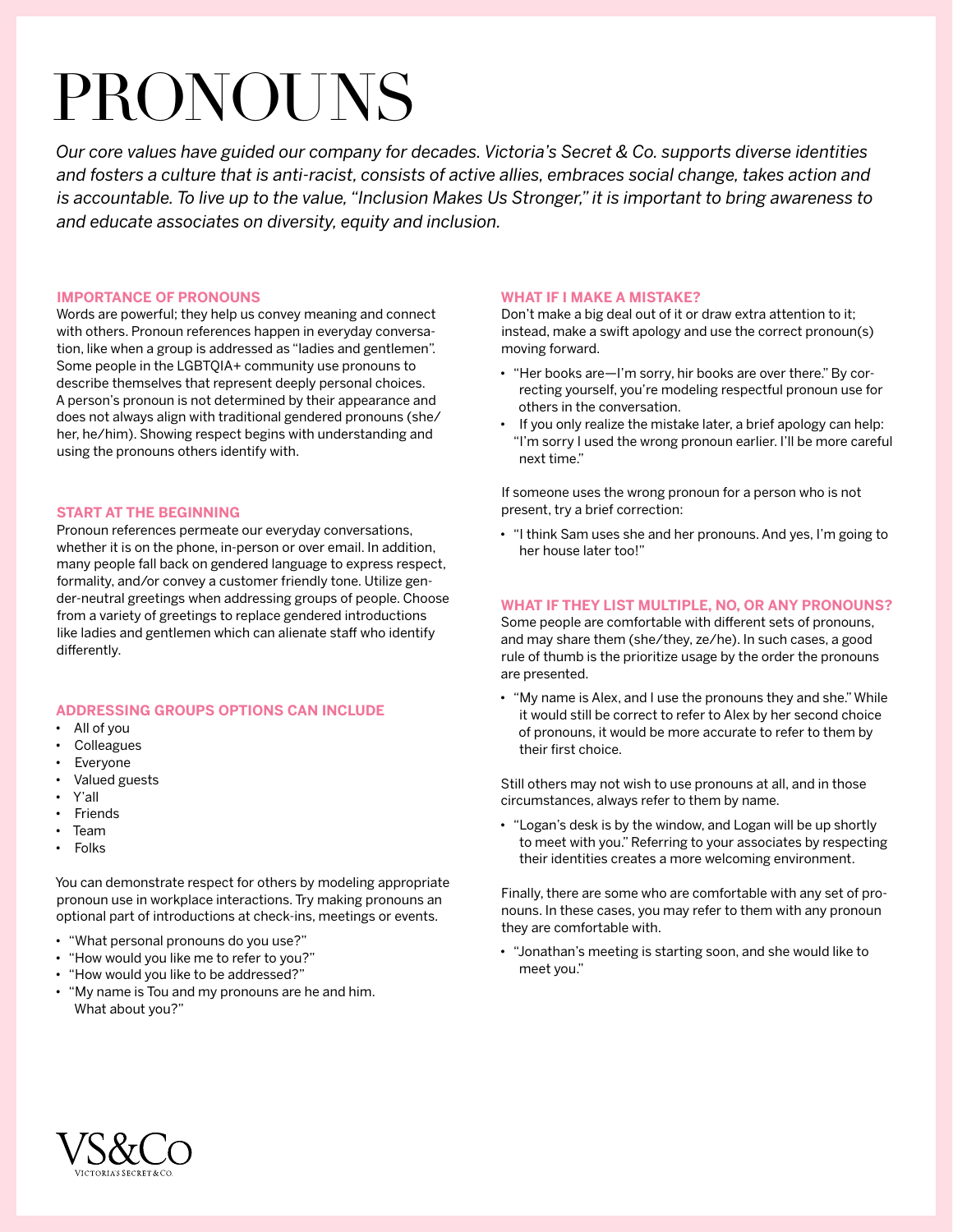# PRONOUNS

*Our core values have guided our company for decades. Victoria's Secret & Co. supports diverse identities and fosters a culture that is anti-racist, consists of active allies, embraces social change, takes action and is accountable. To live up to the value, "Inclusion Makes Us Stronger," it is important to bring awareness to and educate associates on diversity, equity and inclusion.*

#### **IMPORTANCE OF PRONOUNS**

Words are powerful; they help us convey meaning and connect with others. Pronoun references happen in everyday conversation, like when a group is addressed as "ladies and gentlemen". Some people in the LGBTQIA+ community use pronouns to describe themselves that represent deeply personal choices. A person's pronoun is not determined by their appearance and does not always align with traditional gendered pronouns (she/ her, he/him). Showing respect begins with understanding and using the pronouns others identify with.

#### **START AT THE BEGINNING**

Pronoun references permeate our everyday conversations, whether it is on the phone, in-person or over email. In addition, many people fall back on gendered language to express respect, formality, and/or convey a customer friendly tone. Utilize gender-neutral greetings when addressing groups of people. Choose from a variety of greetings to replace gendered introductions like ladies and gentlemen which can alienate staff who identify differently.

# **ADDRESSING GROUPS OPTIONS CAN INCLUDE**

- All of you
- **Colleagues**
- **Everyone**
- Valued guests
- Y'all
- **Friends**
- Team
- Folks

You can demonstrate respect for others by modeling appropriate pronoun use in workplace interactions. Try making pronouns an optional part of introductions at check-ins, meetings or events.

- "What personal pronouns do you use?"
- "How would you like me to refer to you?"
- "How would you like to be addressed?"
- "My name is Tou and my pronouns are he and him. What about you?"

#### **WHAT IF I MAKE A MISTAKE?**

Don't make a big deal out of it or draw extra attention to it; instead, make a swift apology and use the correct pronoun(s) moving forward.

- "Her books are—I'm sorry, hir books are over there." By correcting yourself, you're modeling respectful pronoun use for others in the conversation.
- If you only realize the mistake later, a brief apology can help: "I'm sorry I used the wrong pronoun earlier. I'll be more careful next time."

If someone uses the wrong pronoun for a person who is not present, try a brief correction:

• "I think Sam uses she and her pronouns. And yes, I'm going to her house later too!"

## **WHAT IF THEY LIST MULTIPLE, NO, OR ANY PRONOUNS?**

Some people are comfortable with different sets of pronouns, and may share them (she/they, ze/he). In such cases, a good rule of thumb is the prioritize usage by the order the pronouns are presented.

• "My name is Alex, and I use the pronouns they and she." While it would still be correct to refer to Alex by her second choice of pronouns, it would be more accurate to refer to them by their first choice.

Still others may not wish to use pronouns at all, and in those circumstances, always refer to them by name.

• "Logan's desk is by the window, and Logan will be up shortly to meet with you." Referring to your associates by respecting their identities creates a more welcoming environment.

Finally, there are some who are comfortable with any set of pronouns. In these cases, you may refer to them with any pronoun they are comfortable with.

• "Jonathan's meeting is starting soon, and she would like to meet you."